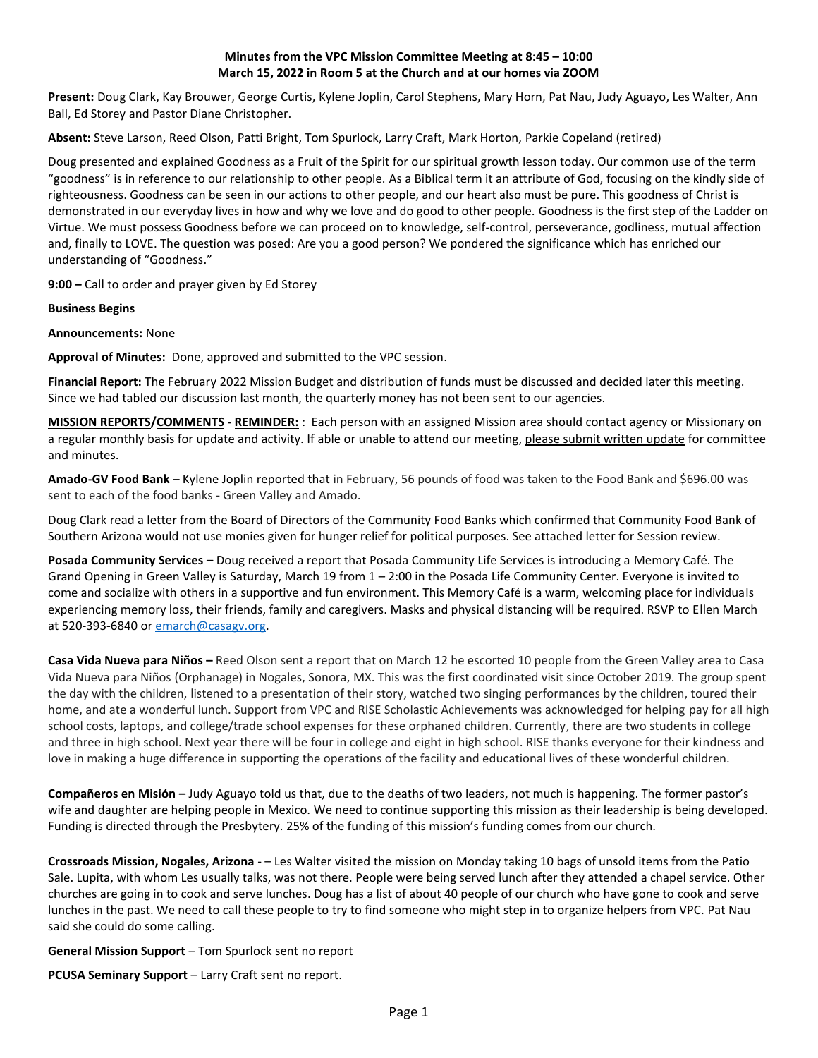## **Minutes from the VPC Mission Committee Meeting at 8:45 – 10:00 March 15, 2022 in Room 5 at the Church and at our homes via ZOOM**

**Present:** Doug Clark, Kay Brouwer, George Curtis, Kylene Joplin, Carol Stephens, Mary Horn, Pat Nau, Judy Aguayo, Les Walter, Ann Ball, Ed Storey and Pastor Diane Christopher.

**Absent:** Steve Larson, Reed Olson, Patti Bright, Tom Spurlock, Larry Craft, Mark Horton, Parkie Copeland (retired)

Doug presented and explained Goodness as a Fruit of the Spirit for our spiritual growth lesson today. Our common use of the term "goodness" is in reference to our relationship to other people. As a Biblical term it an attribute of God, focusing on the kindly side of righteousness. Goodness can be seen in our actions to other people, and our heart also must be pure. This goodness of Christ is demonstrated in our everyday lives in how and why we love and do good to other people. Goodness is the first step of the Ladder on Virtue. We must possess Goodness before we can proceed on to knowledge, self-control, perseverance, godliness, mutual affection and, finally to LOVE. The question was posed: Are you a good person? We pondered the significance which has enriched our understanding of "Goodness."

**9:00 –** Call to order and prayer given by Ed Storey

**Business Begins**

**Announcements:** None

**Approval of Minutes:** Done, approved and submitted to the VPC session.

**Financial Report:** The February 2022 Mission Budget and distribution of funds must be discussed and decided later this meeting. Since we had tabled our discussion last month, the quarterly money has not been sent to our agencies.

**MISSION REPORTS/COMMENTS - REMINDER:** : Each person with an assigned Mission area should contact agency or Missionary on a regular monthly basis for update and activity. If able or unable to attend our meeting, please submit written update for committee and minutes.

**Amado-GV Food Bank** – Kylene Joplin reported that in February, 56 pounds of food was taken to the Food Bank and \$696.00 was sent to each of the food banks - Green Valley and Amado.

Doug Clark read a letter from the Board of Directors of the Community Food Banks which confirmed that Community Food Bank of Southern Arizona would not use monies given for hunger relief for political purposes. See attached letter for Session review.

**Posada Community Services –** Doug received a report that Posada Community Life Services is introducing a Memory Café. The Grand Opening in Green Valley is Saturday, March 19 from 1 – 2:00 in the Posada Life Community Center. Everyone is invited to come and socialize with others in a supportive and fun environment. This Memory Café is a warm, welcoming place for individuals experiencing memory loss, their friends, family and caregivers. Masks and physical distancing will be required. RSVP to Ellen March at 520-393-6840 o[r emarch@casagv.org.](mailto:emarch@casagv.org)

**Casa Vida Nueva para Niños –** Reed Olson sent a report that on March 12 he escorted 10 people from the Green Valley area to Casa Vida Nueva para Niños (Orphanage) in Nogales, Sonora, MX. This was the first coordinated visit since October 2019. The group spent the day with the children, listened to a presentation of their story, watched two singing performances by the children, toured their home, and ate a wonderful lunch. Support from VPC and RISE Scholastic Achievements was acknowledged for helping pay for all high school costs, laptops, and college/trade school expenses for these orphaned children. Currently, there are two students in college and three in high school. Next year there will be four in college and eight in high school. RISE thanks everyone for their kindness and love in making a huge difference in supporting the operations of the facility and educational lives of these wonderful children.

**Compañeros en Misión –** Judy Aguayo told us that, due to the deaths of two leaders, not much is happening. The former pastor's wife and daughter are helping people in Mexico. We need to continue supporting this mission as their leadership is being developed. Funding is directed through the Presbytery. 25% of the funding of this mission's funding comes from our church.

**Crossroads Mission, Nogales, Arizona** - – Les Walter visited the mission on Monday taking 10 bags of unsold items from the Patio Sale. Lupita, with whom Les usually talks, was not there. People were being served lunch after they attended a chapel service. Other churches are going in to cook and serve lunches. Doug has a list of about 40 people of our church who have gone to cook and serve lunches in the past. We need to call these people to try to find someone who might step in to organize helpers from VPC. Pat Nau said she could do some calling.

**General Mission Support** – Tom Spurlock sent no report

**PCUSA Seminary Support** – Larry Craft sent no report.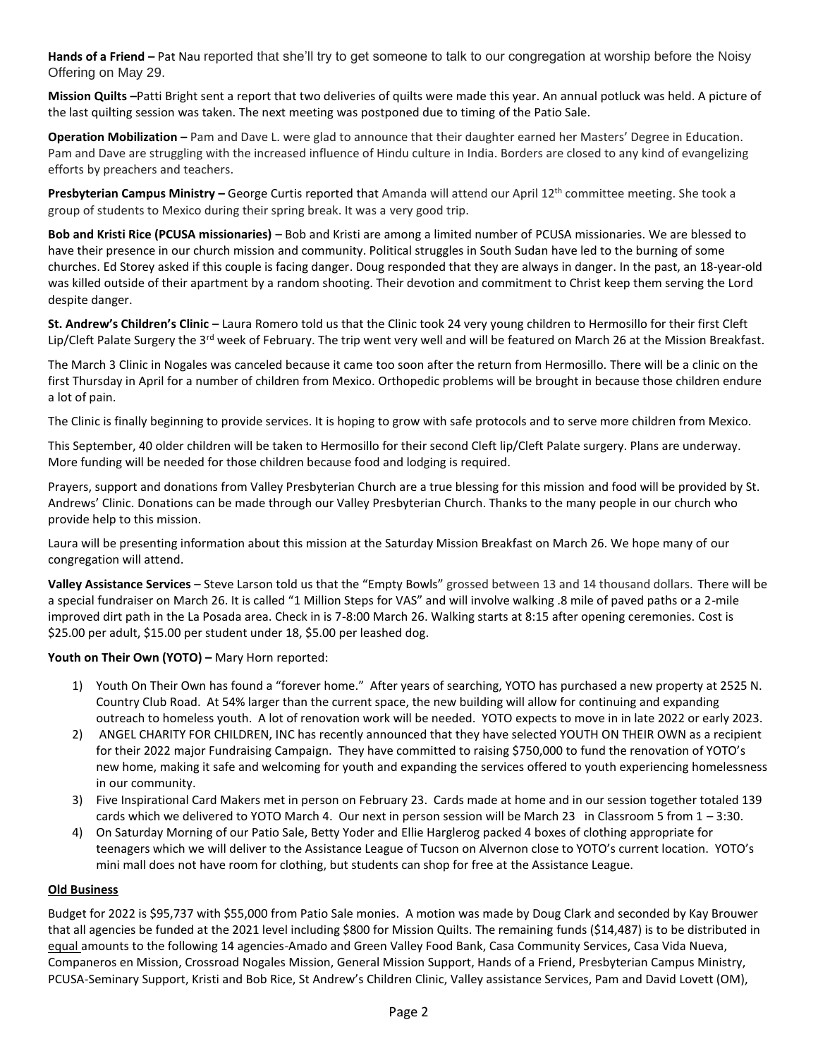**Hands of a Friend –** Pat Nau reported that she'll try to get someone to talk to our congregation at worship before the Noisy Offering on May 29.

**Mission Quilts –**Patti Bright sent a report that two deliveries of quilts were made this year. An annual potluck was held. A picture of the last quilting session was taken. The next meeting was postponed due to timing of the Patio Sale.

**Operation Mobilization –** Pam and Dave L. were glad to announce that their daughter earned her Masters' Degree in Education. Pam and Dave are struggling with the increased influence of Hindu culture in India. Borders are closed to any kind of evangelizing efforts by preachers and teachers.

Presbyterian Campus Ministry – George Curtis reported that Amanda will attend our April 12<sup>th</sup> committee meeting. She took a group of students to Mexico during their spring break. It was a very good trip.

**Bob and Kristi Rice (PCUSA missionaries)** – Bob and Kristi are among a limited number of PCUSA missionaries. We are blessed to have their presence in our church mission and community. Political struggles in South Sudan have led to the burning of some churches. Ed Storey asked if this couple is facing danger. Doug responded that they are always in danger. In the past, an 18-year-old was killed outside of their apartment by a random shooting. Their devotion and commitment to Christ keep them serving the Lord despite danger.

**St. Andrew's Children's Clinic –** Laura Romero told us that the Clinic took 24 very young children to Hermosillo for their first Cleft Lip/Cleft Palate Surgery the 3<sup>rd</sup> week of February. The trip went very well and will be featured on March 26 at the Mission Breakfast.

The March 3 Clinic in Nogales was canceled because it came too soon after the return from Hermosillo. There will be a clinic on the first Thursday in April for a number of children from Mexico. Orthopedic problems will be brought in because those children endure a lot of pain.

The Clinic is finally beginning to provide services. It is hoping to grow with safe protocols and to serve more children from Mexico.

This September, 40 older children will be taken to Hermosillo for their second Cleft lip/Cleft Palate surgery. Plans are underway. More funding will be needed for those children because food and lodging is required.

Prayers, support and donations from Valley Presbyterian Church are a true blessing for this mission and food will be provided by St. Andrews' Clinic. Donations can be made through our Valley Presbyterian Church. Thanks to the many people in our church who provide help to this mission.

Laura will be presenting information about this mission at the Saturday Mission Breakfast on March 26. We hope many of our congregation will attend.

**Valley Assistance Services** – Steve Larson told us that the "Empty Bowls" grossed between 13 and 14 thousand dollars. There will be a special fundraiser on March 26. It is called "1 Million Steps for VAS" and will involve walking .8 mile of paved paths or a 2-mile improved dirt path in the La Posada area. Check in is 7-8:00 March 26. Walking starts at 8:15 after opening ceremonies. Cost is \$25.00 per adult, \$15.00 per student under 18, \$5.00 per leashed dog.

# **Youth on Their Own (YOTO) –** Mary Horn reported:

- 1) Youth On Their Own has found a "forever home." After years of searching, YOTO has purchased a new property at 2525 N. Country Club Road. At 54% larger than the current space, the new building will allow for continuing and expanding outreach to homeless youth. A lot of renovation work will be needed. YOTO expects to move in in late 2022 or early 2023.
- 2) ANGEL CHARITY FOR CHILDREN, INC has recently announced that they have selected YOUTH ON THEIR OWN as a recipient for their 2022 major Fundraising Campaign. They have committed to raising \$750,000 to fund the renovation of YOTO's new home, making it safe and welcoming for youth and expanding the services offered to youth experiencing homelessness in our community.
- 3) Five Inspirational Card Makers met in person on February 23. Cards made at home and in our session together totaled 139 cards which we delivered to YOTO March 4. Our next in person session will be March 23 in Classroom 5 from 1 - 3:30.
- 4) On Saturday Morning of our Patio Sale, Betty Yoder and Ellie Harglerog packed 4 boxes of clothing appropriate for teenagers which we will deliver to the Assistance League of Tucson on Alvernon close to YOTO's current location. YOTO's mini mall does not have room for clothing, but students can shop for free at the Assistance League.

## **Old Business**

Budget for 2022 is \$95,737 with \$55,000 from Patio Sale monies. A motion was made by Doug Clark and seconded by Kay Brouwer that all agencies be funded at the 2021 level including \$800 for Mission Quilts. The remaining funds (\$14,487) is to be distributed in equal amounts to the following 14 agencies-Amado and Green Valley Food Bank, Casa Community Services, Casa Vida Nueva, Companeros en Mission, Crossroad Nogales Mission, General Mission Support, Hands of a Friend, Presbyterian Campus Ministry, PCUSA-Seminary Support, Kristi and Bob Rice, St Andrew's Children Clinic, Valley assistance Services, Pam and David Lovett (OM),